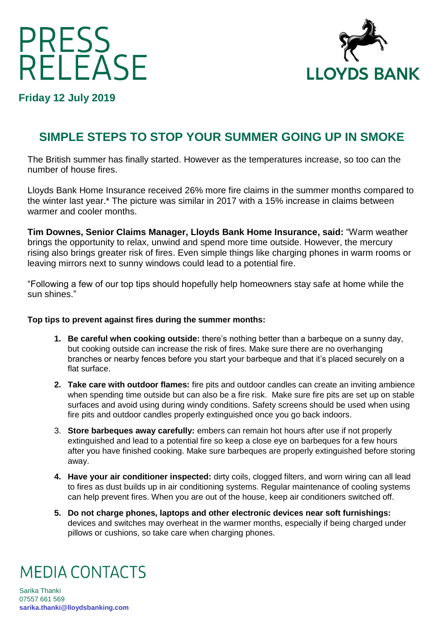# PRESS<br>RELEASE



**Friday 12 July 2019**

## **SIMPLE STEPS TO STOP YOUR SUMMER GOING UP IN SMOKE**

The British summer has finally started. However as the temperatures increase, so too can the number of house fires.

Lloyds Bank Home Insurance received 26% more fire claims in the summer months compared to the winter last year.\* The picture was similar in 2017 with a 15% increase in claims between warmer and cooler months.

**Tim Downes, Senior Claims Manager, Lloyds Bank Home Insurance, said:** "Warm weather brings the opportunity to relax, unwind and spend more time outside. However, the mercury rising also brings greater risk of fires. Even simple things like charging phones in warm rooms or leaving mirrors next to sunny windows could lead to a potential fire.

"Following a few of our top tips should hopefully help homeowners stay safe at home while the sun shines."

### **Top tips to prevent against fires during the summer months:**

- **1. Be careful when cooking outside:** there's nothing better than a barbeque on a sunny day, but cooking outside can increase the risk of fires. Make sure there are no overhanging branches or nearby fences before you start your barbeque and that it's placed securely on a flat surface.
- **2. Take care with outdoor flames:** fire pits and outdoor candles can create an inviting ambience when spending time outside but can also be a fire risk. Make sure fire pits are set up on stable surfaces and avoid using during windy conditions. Safety screens should be used when using fire pits and outdoor candles properly extinguished once you go back indoors.
- 3. **Store barbeques away carefully:** embers can remain hot hours after use if not properly extinguished and lead to a potential fire so keep a close eye on barbeques for a few hours after you have finished cooking. Make sure barbeques are properly extinguished before storing away.
- **4. Have your air conditioner inspected:** dirty coils, clogged filters, and worn wiring can all lead to fires as dust builds up in air conditioning systems. Regular maintenance of cooling systems can help prevent fires. When you are out of the house, keep air conditioners switched off.
- **5. Do not charge phones, laptops and other electronic devices near soft furnishings:**  devices and switches may overheat in the warmer months, especially if being charged under pillows or cushions, so take care when charging phones.

# **MEDIA CONTACTS**

Sarika Thanki 07557 661 569 **[sarika.thanki@lloydsbanking.com](mailto:sarika.thanki@lloydsbanking.com)**